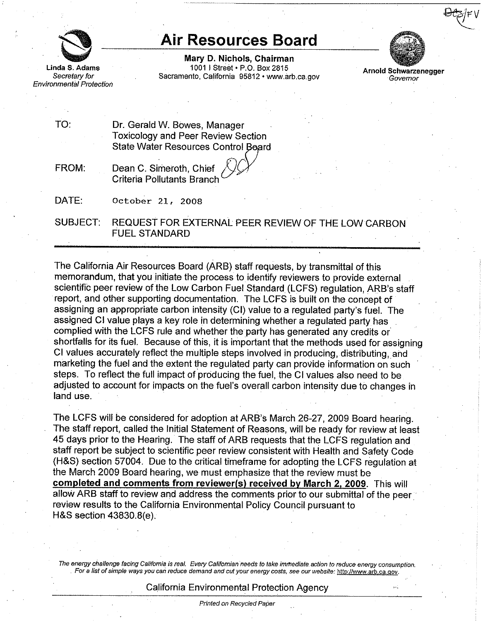

Environmental Protection

# **Air Resources Board**

**Mary D. Nichols, Chairman**  Linda S. Adams 1001 I Street • P.O. Box 2815 Arnold Schwarzenegger<br>Secretary for Sacramento, California 95812 •<www.arb.ca.gov> Governor



TO: Dr. Gerald W. Bowes, Manager Toxicology and Peer Review Section State Water Resources Control Board

FROM: Dean C. Simeroth, Chief Criteria Pollutants Branch

DATE: October 21, 2008

SUBJECT: REQUEST FOR EXTERNAL PEER REVIEW OF THE LOW CARBON FUEL STANDARD

The California Air Resources Board (ARB) staff requests, by transmittal of this memorandum, that you initiate the process to identify reviewers to provide external scientific peer review of the Low Carbon Fuel Standard (LCFS) regulation, ARB's staff report, and other supporting documentation. The LCFS is built on the concept of assigning an appropriate carbon intensity (Cl) value to a regulated party's fuel. The assigned Cl value plays a key role in determining whether a regulated party has complied with the LCFS rule and whether the party has generated any credits or shortfalls for its fuel. Because of this, it is important that the methods used for assigning Cl values accurately reflect the multiple steps involved in producing, distributing.and marketing the fuel and the extent the regulated party can provide information on such steps. To reflect the full impact of producing the fuel, the Cl values also need to be adjusted to account for impacts on the fuel's overall carbon intensity due to changes in land use.

The LCFS will be considered for adoption at ARB's March 26-27, 2009 Board hearing. The staff report, called the Initial Statement of Reasons, will be ready for review at least 45 days prior to the Hearing. The staff of ARB requests that the LCFS regulation and staff report be subject to scientific peer review consistent with Health and Safety Code (H&S) section 57004. Due to the critical timeframe for adopting the LCFS regulation at the March 2009 Board hearing, we must emphasize that the review must be **completed and comments from reviewer(s) received by March 2. 2009.** This will allow ARB staff to review and address the comments prior to our submittal of the peer. review results to the California Environmental Policy Council pursuant to H&S section 43830.B(e).

The energy challenge facing California is real. Every Californian needs to take immediate action to reduce energy consumption. . **For a list ofsimple ways you cafl reduce demand and cut your energy costs, see our website: <http://www.arb.ca.qov>.** 

## California Environmental Protection Agency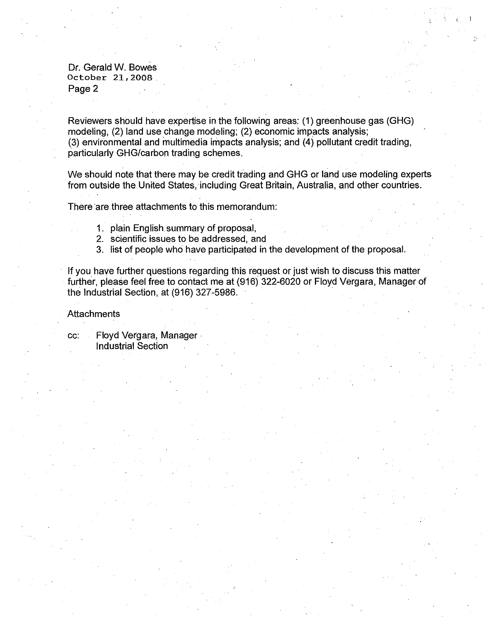Dr. Gerald W. Bowes October 21, 2008 . Page 2

Reviewers should have expertise in the following areas: (1) greenhouse gas (GHG) modeling, (2) land use change modeling; (2) economic impacts analysis; (3) environmental and multimedia impacts analysis; and (4) pollutant credit trading, particularly GHG/carbon trading schemes.

 $I_{\rm L} = 1$ 

We should note that there may be credit trading and GHG or land use modeling experts from outside the United States, including Great Britain, Australia, and other countries.

There are three attachments to this memorandum:

- 1. plain English summary of proposal,
- 2. scientific issues to be addressed, and
- 3. list of people who have participated in the development of the proposal.

If you have further questions regarding this request or just wish to discuss this matter further, please feel free to contact me at (916) 322-6020 or Floyd Vergara, Manager of the Industrial Section, at (916) 327-5986.

#### **Attachments**

cc: Floyd Vergara, Manager • Industrial Section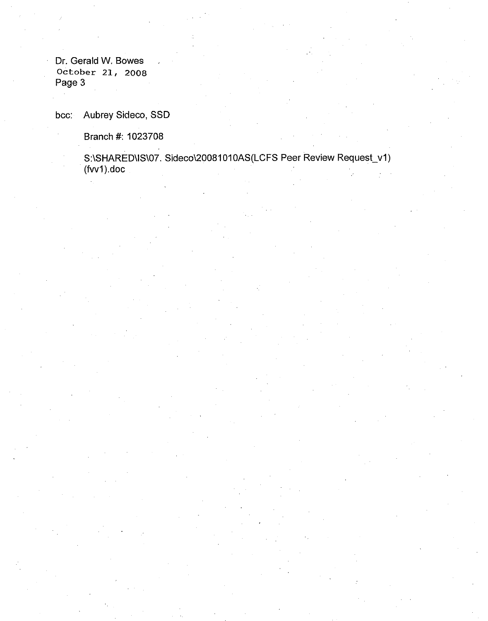Dr. Gerald W. Bowes October 21, 2008 Page 3

bee: Aubrey Sideco, SSD

Branch #: 1023708

S:\SHARED\I8\07. Sideco\20081010AS(LCFS Peer Review Request\_v1) (fvv1).doc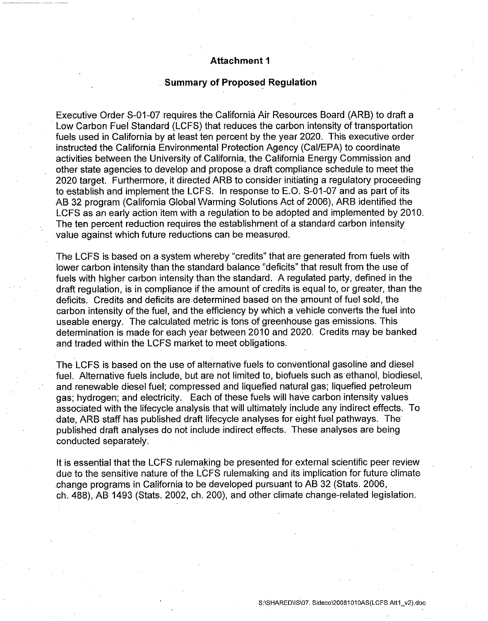# **Attachment 1**

#### . **Summary of Proposed Regulation**

Executive Order S-01-07 requires the California Air Resources Board (ARB) to draft a Low Carbon Fuel Standard (LCFS) that reduces the carbon intensity of transportation fuels used in California by at least ten percent by the year 2020. This executive order instructed the California Environmental Protection Agency (Cal/EPA) to coordinate activities between the University of California, the California Energy Commission and other state agencies to develop and propose a draft compliance schedule to meet the 2020 target. Furthermore, it directed ARB to consider initiating a regulatory proceeding to establish and implement the LCFS. In response to E.O. S-01-07 and as part of its AB 32 program (California Global Warming Solutions Act of 2006), ARB identified the LCFS as an early action item with a regulation to be adopted and implemented by 2010. The ten percent reduction requires the establishment of a standard carbon intensity value against which future reductions can be measured.

The LCFS is based on a system whereby "credits" that are generated from fuels with lower carbon intensity than the standard balance "deficits" that result from the use of fuels with higher carbon intensity than the standard. A regulated party, defined in the draft regulation, is in compliance if the amount of credits is equal to, or greater, than the deficits. Credits and deficits are determined based on the amount of fuel sold, the carbon intensity of the fuel, and the efficiency by which a vehicle converts the fuel into useable energy. The calculated metric is tons of greenhouse gas emissions. This determination is made for each year between 2010 and 2020. Credits may be banked and traded within the LCFS market to meet obligations.

The LCFS is based on the use of alternative fuels to conventional gasoline and diesel fuel. Alternative fuels include, but are not limited to, biofuels such as ethanol, biodiesel, and renewable diesel fuel; compressed and liquefied natural gas; liquefied petroleum gas; hydrogen; and electricity. Each of these fuels will have carbon intensity values associated with the lifecycle analysis that will ultimately include any indirect effects. To date, ARB staff has published draft lifecycle analyses for eight fuel pathways. The published draft analyses do not include indirect effects. These. analyses are being conducted separately.

It is essential that the LCFS rulemaking be presented for external scientific peer review due to the sensitive nature of the LCFS rulemaking and its implication for future climate .change programs in California to be developed pursuant to AB 32 (Stats. 2006, ch. 488), AB 1493 (Stats. 2002, ch. 200), and other climate change-related legislation.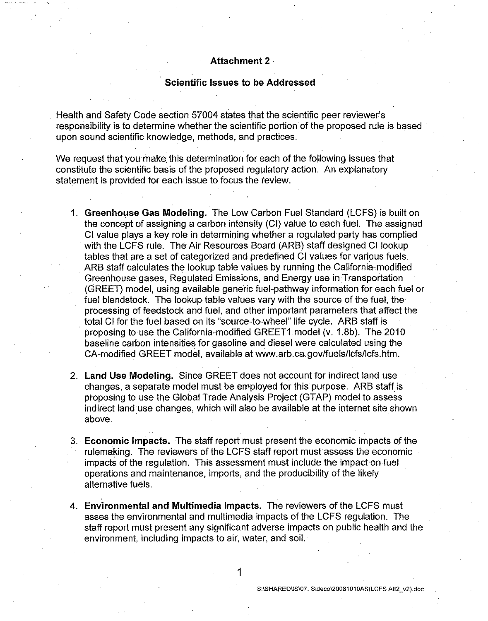## **Attachment 2** ·

### **Scientific Issues to be Addressed**

Health and Safety Code section 57004 states that the scientific peer reviewer's responsibility is to determine whether the scientific portion of the proposed rule is based upon sound scientific knowledge, methods, and practices.

We request that you make this determination for each of the following issues that constitute the scientific basis of the proposed regulatory action. An explanatory statement is provided for each issue to focus the review.

- 1. **Greenhouse Gas Modeling.** The Low Carbon Fuel Standard (LCFS) is built on the concept of assigning a carbon intensity (Cl) value to each fuel. The assigned Cl value plays a key role in determining whether a regulated party has complied with the LCFS rule. The Air Resources Board (ARB) staff designed Cl lookup tables that are a set of categorized and predefined Cl values for various fuels. ARB staff calculates the lookup table values by running the California-modified Greenhouse gases, Regulated Emissions, and Energy use in Transportation (GREET) model, using available generic fuel-pathway information for each fuel or fuel blendstock. The lookup table values vary with the source of the fuel, the processing of feedstock and fuel, and other important parameters that affect the total Cl for the fuel based on its "source-to-wheel" life cycle. ARB staff is proposing to use the California-modified GREET1 model (v. 1.8b). The 2010 baseline carbon intensities for gasoline and diesel were calculated using the CA-modified GREET model, available at<www.arb.ca.gov/fuels/lcfs/lcfs.htm>.
- 2. **Land Use Modeling.** Since GREET does not account for indirect land use changes, a separate model must be employed for this purpose. ARB staff\_is proposing to use the Global Trade Analysis Project (GTAP) model to assess indirect land use changes, which will also be available at the internet site shown above.
- 3. **Economic Impacts.** The staff report must present the economic impacts of the rulemaking. The reviewers of the LCFS staff report must assess the economic impacts of the regulation. This assessment must include the impact on fuel operations and maintenance, imports, and the producibility of the likely alternative fuels.
- 4. **Environmental and Multimedia Impacts.** The reviewers of the LCFS must asses the environmental and multimedia impacts of the LCFS regulation. The staff report must present any significant adverse impacts on public health and the environment, including impacts to air, water, and soil.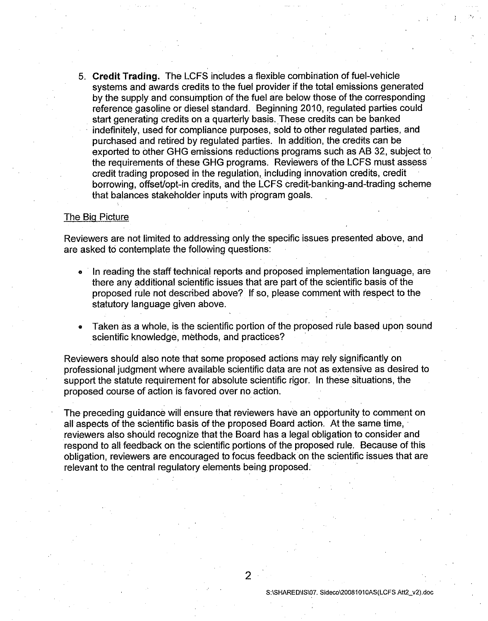5. **Credit Trading.** The LCFS includes a flexible combination of fuel-vehicle systems and awards credits to the fuel provider if the total emissions generated by the supply and consumption of the fuel are below those of the corresponding reference gasoline or diesel standard. Beginning 2010, regulated parties could start generating credits on a quarterly basis. These credits can be banked indefinitely, used for compliance purposes, sold to other regulated parties, and purchased and retired by requiated parties. In addition, the credits can be exported to other GHG emissions reductions programs such as AB 32, subject to the requirements of these GHG programs. Reviewers of the LCFS must assess credit trading proposed in the regulation, including innovation credits, credit borrowing, offset/opt-in credits, and the LCFS credit-banking-and-trading scheme that balances stakeholder inputs with program goals.

#### The Big Picture

Reviewers are not limited to addressing only the specific issues presented above, and are asked to contemplate the following questions:

- · In reading the staff technical reports and proposed implementation language, are there any additional scientific issues that are part of the scientific basis of the proposed rule not described above? If so, please comment with respect to the statutory language given above.
- Taken as a whole, is the scientific portion of the proposed rule based upon sound scientific knowledge, methods, and practices?

Reviewers should also note that some proposed actions may rely significantly on professional judgment where available scientific data are not as extensive as desired to support the statute requirement for absolute scientific rigor. In these situations, the proposed course of action is favored over no action.

The preceding guidance will ensure that reviewers have an opportunity to comment on all aspects of the scientific basis of the proposed Board action. At the same time, reviewers also should recognize that the Board has a legal obligation to consider and respond to all feedback on the scientific portions of the proposed rule. Because of this obligation, reviewers are encouraged to focus feedback on the scientific issues that are relevant to the central regulatory elements being proposed.

2

S:ISHARED\IS107. Sideco\20081010AS(LCFS Att2\_v2).doc